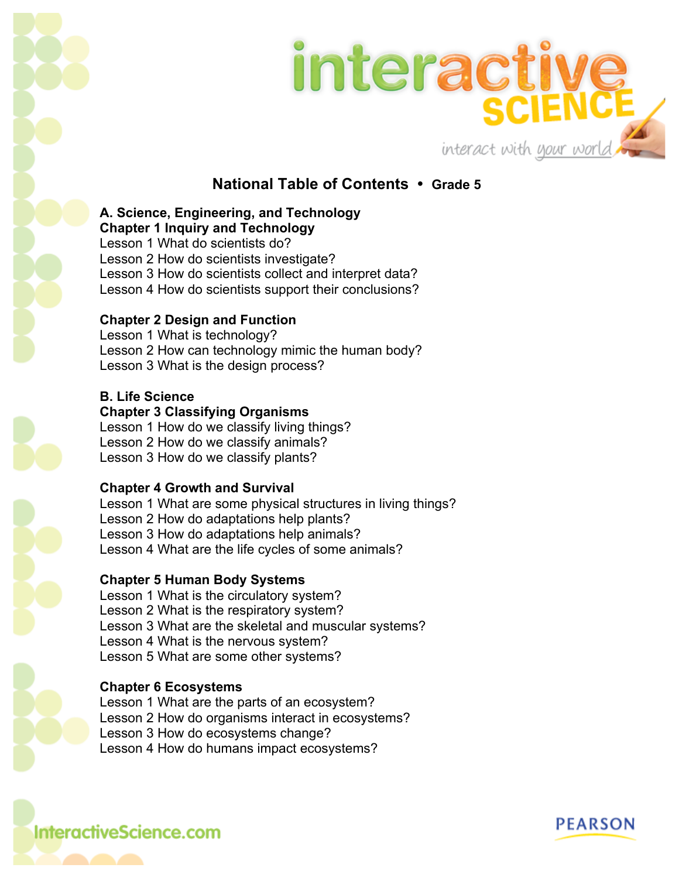



## **National Table of Contents • Grade 5**

#### **A. Science, Engineering, and Technology Chapter 1 Inquiry and Technology**

Lesson 1 What do scientists do? Lesson 2 How do scientists investigate? Lesson 3 How do scientists collect and interpret data? Lesson 4 How do scientists support their conclusions?

### **Chapter 2 Design and Function**

Lesson 1 What is technology? Lesson 2 How can technology mimic the human body? Lesson 3 What is the design process?

### **B. Life Science**

**Chapter 3 Classifying Organisms**

Lesson 1 How do we classify living things? Lesson 2 How do we classify animals? Lesson 3 How do we classify plants?

### **Chapter 4 Growth and Survival**

Lesson 1 What are some physical structures in living things? Lesson 2 How do adaptations help plants? Lesson 3 How do adaptations help animals? Lesson 4 What are the life cycles of some animals?

## **Chapter 5 Human Body Systems**

Lesson 1 What is the circulatory system? Lesson 2 What is the respiratory system? Lesson 3 What are the skeletal and muscular systems? Lesson 4 What is the nervous system? Lesson 5 What are some other systems?

### **Chapter 6 Ecosystems**

Lesson 1 What are the parts of an ecosystem? Lesson 2 How do organisms interact in ecosystems? Lesson 3 How do ecosystems change? Lesson 4 How do humans impact ecosystems?

**InteractiveScience.com**